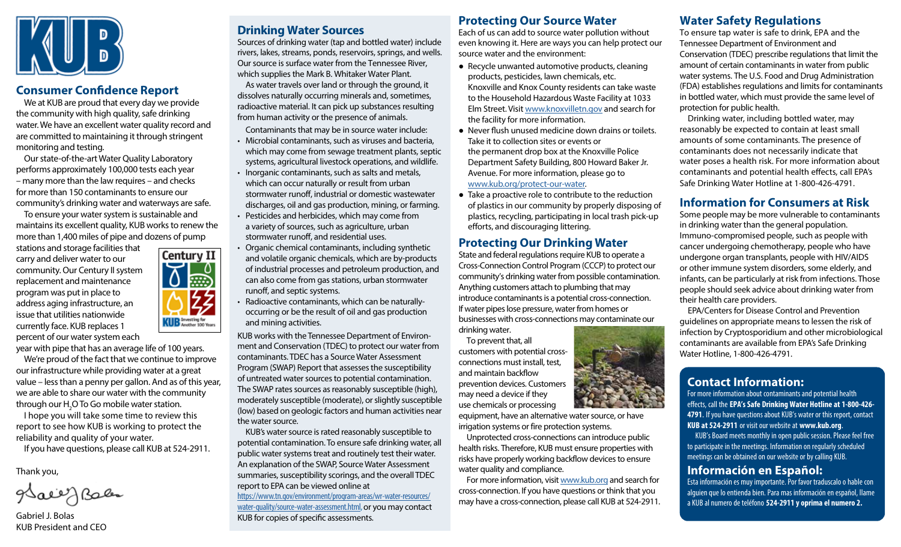

### **Consumer Confidence Report**

We at KUB are proud that every day we provide the community with high quality, safe drinking water. We have an excellent water quality record and are committed to maintaining it through stringent monitoring and testing.

Our state-of-the-art Water Quality Laboratory performs approximately 100,000 tests each year – many more than the law requires – and checks for more than 150 contaminants to ensure our community's drinking water and waterways are safe.

To ensure your water system is sustainable and maintains its excellent quality, KUB works to renew the more than 1,400 miles of pipe and dozens of pump

stations and storage facilities that carry and deliver water to our community. Our Century II system replacement and maintenance program was put in place to address aging infrastructure, an issue that utilities nationwide currently face. KUB replaces 1 percent of our water system each

Century II **KUB** Investing for

year with pipe that has an average life of 100 years.

We're proud of the fact that we continue to improve our infrastructure while providing water at a great value – less than a penny per gallon. And as of this year, we are able to share our water with the community through our  $\mathsf{H}_{\mathfrak{z}}\mathsf{O}$  To Go mobile water station.

I hope you will take some time to review this report to see how KUB is working to protect the reliability and quality of your water.

If you have questions, please call KUB at 524-2911.

Thank you,

glace J Bales

Gabriel J. Bolas KUB President and CEO

# **Drinking Water Sources**

Sources of drinking water (tap and bottled water) include rivers, lakes, streams, ponds, reservoirs, springs, and wells. Our source is surface water from the Tennessee River, which supplies the Mark B. Whitaker Water Plant. As water travels over land or through the ground, it dissolves naturally occurring minerals and, sometimes, radioactive material. It can pick up substances resulting from human activity or the presence of animals.

Contaminants that may be in source water include:

- Microbial contaminants, such as viruses and bacteria, which may come from sewage treatment plants, septic systems, agricultural livestock operations, and wildlife.
- Inorganic contaminants, such as salts and metals, which can occur naturally or result from urban stormwater runoff, industrial or domestic wastewater discharges, oil and gas production, mining, or farming.
- Pesticides and herbicides, which may come from a variety of sources, such as agriculture, urban stormwater runoff, and residential uses.
- Organic chemical contaminants, including synthetic and volatile organic chemicals, which are by-products of industrial processes and petroleum production, and can also come from gas stations, urban stormwater runoff, and septic systems.
- Radioactive contaminants, which can be naturallyoccurring or be the result of oil and gas production and mining activities.

KUB works with the Tennessee Department of Environment and Conservation (TDEC) to protect our water from contaminants. TDEC has a Source Water Assessment Program (SWAP) Report that assesses the susceptibility of untreated water sources to potential contamination. The SWAP rates sources as reasonably susceptible (high), moderately susceptible (moderate), or slightly susceptible (low) based on geologic factors and human activities near the water source.

KUB's water source is rated reasonably susceptible to potential contamination. To ensure safe drinking water, all public water systems treat and routinely test their water. An explanation of the SWAP, Source Water Assessment summaries, susceptibility scorings, and the overall TDEC report to EPA can be viewed online at

https://www.tn.gov/environment/program-areas/wr-water-resources/ water-quality/source-water-assessment.html, or you may contact KUB for copies of specific assessments.

## **Protecting Our Source Water**

Each of us can add to source water pollution without even knowing it. Here are ways you can help protect our source water and the environment:

- Recycle unwanted automotive products, cleaning products, pesticides, lawn chemicals, etc. Knoxville and Knox County residents can take waste to the Household Hazardous Waste Facility at 1033 Elm Street. Visit www.knoxvilletn.gov and search for the facility for more information.
- Never flush unused medicine down drains or toilets. Take it to collection sites or events or the permanent drop box at the Knoxville Police Department Safety Building, 800 Howard Baker Jr. Avenue. For more information, please go to www.kub.org/protect-our-water.
- Take a proactive role to contribute to the reduction of plastics in our community by properly disposing of plastics, recycling, participating in local trash pick-up efforts, and discouraging littering.

## **Protecting Our Drinking Water**

State and federal regulations require KUB to operate a Cross-Connection Control Program (CCCP) to protect our community's drinking water from possible contamination. Anything customers attach to plumbing that may introduce contaminants is a potential cross-connection. If water pipes lose pressure, water from homes or businesses with cross-connections may contaminate our

drinking water.

To prevent that, all customers with potential crossconnections must install, test, and maintain backflow prevention devices. Customers may need a device if they use chemicals or processing

equipment, have an alternative water source, or have irrigation systems or fire protection systems.

Unprotected cross-connections can introduce public health risks. Therefore, KUB must ensure properties with risks have properly working backflow devices to ensure water quality and compliance.

For more information, visit www.kub.org and search for cross-connection. If you have questions or think that you may have a cross-connection, please call KUB at 524-2911.

## **Water Safety Regulations**

To ensure tap water is safe to drink, EPA and the Tennessee Department of Environment and Conservation (TDEC) prescribe regulations that limit the amount of certain contaminants in water from public water systems. The U.S. Food and Drug Administration (FDA) establishes regulations and limits for contaminants in bottled water, which must provide the same level of protection for public health.

Drinking water, including bottled water, may reasonably be expected to contain at least small amounts of some contaminants. The presence of contaminants does not necessarily indicate that water poses a health risk. For more information about contaminants and potential health effects, call EPA's Safe Drinking Water Hotline at 1-800-426-4791.

# **Information for Consumers at Risk**

Some people may be more vulnerable to contaminants in drinking water than the general population. Immuno-compromised people, such as people with cancer undergoing chemotherapy, people who have undergone organ transplants, people with HIV/AIDS or other immune system disorders, some elderly, and infants, can be particularly at risk from infections. Those people should seek advice about drinking water from their health care providers.

EPA/Centers for Disease Control and Prevention guidelines on appropriate means to lessen the risk of infection by Cryptosporidium and other microbiological contaminants are available from EPA's Safe Drinking Water Hotline, 1-800-426-4791.

# **Contact Information:**

For more information about contaminants and potential health effects, call the **EPA's Safe Drinking Water Hotline at 1-800-426- 4791**. If you have questions about KUB's water or this report, contact **KUB at 524-2911** or visit our website at **www.kub.org**.

KUB's Board meets monthly in open public session. Please feel free to participate in the meetings. Information on regularly scheduled meetings can be obtained on our website or by calling KUB.

## **Información en Español:**

Esta información es muy importante. Por favor traduscalo o hable con alguien que lo entienda bien. Para mas información en español, llame a KUB al numero de teléfono **524-2911 y oprima el numero 2.**